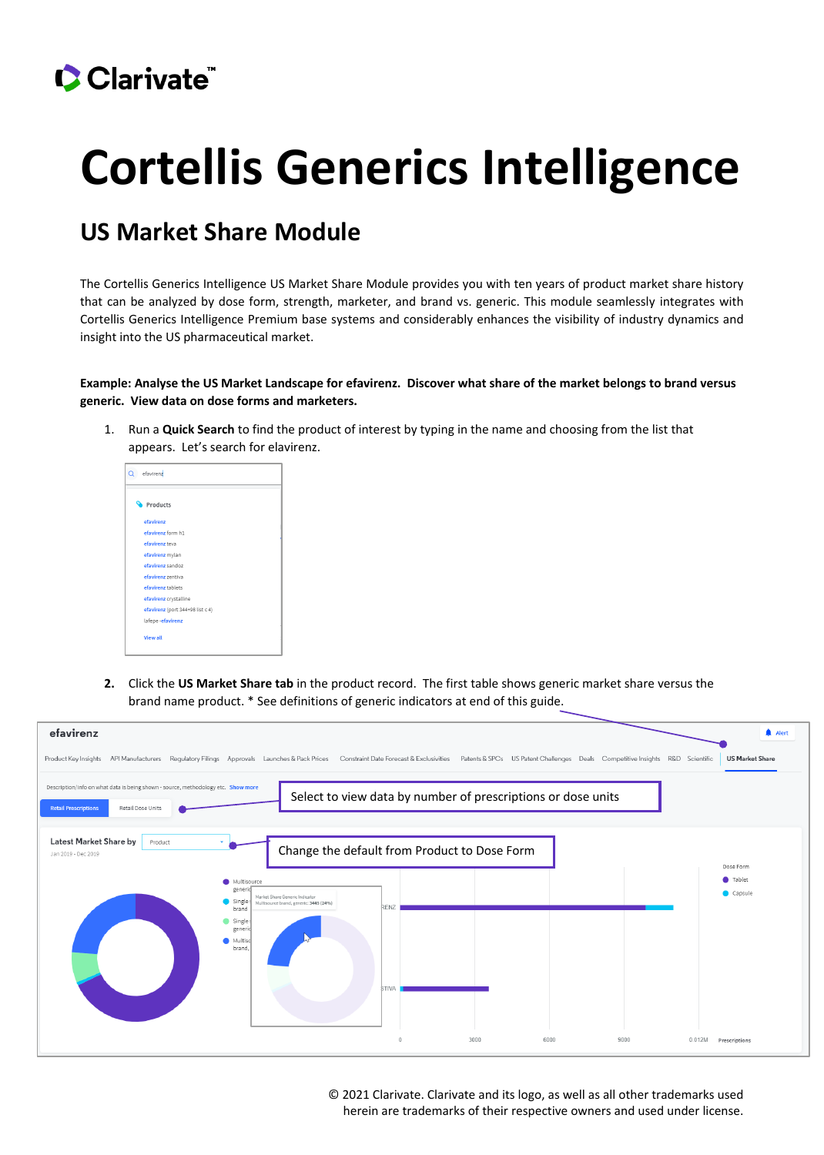## CClarivate

# **Cortellis Generics Intelligence**

## **US Market Share Module**

The Cortellis Generics Intelligence US Market Share Module provides you with ten years of product market share history that can be analyzed by dose form, strength, marketer, and brand vs. generic. This module seamlessly integrates with Cortellis Generics Intelligence Premium base systems and considerably enhances the visibility of industry dynamics and insight into the US pharmaceutical market.

### **Example: Analyse the US Market Landscape for efavirenz. Discover what share of the market belongs to brand versus generic. View data on dose forms and marketers.**

1. Run a **Quick Search** to find the product of interest by typing in the name and choosing from the list that appears. Let's search for elavirenz.



**2.** Click the **US Market Share tab** in the product record. The first table shows generic market share versus the brand name product. \* See definitions of generic indicators at end of this guide.

| efavirenz                                                                                                                                                                                                         |                                                                                                                                               |          |                                                              |      |      | <b>A</b> Alert           |
|-------------------------------------------------------------------------------------------------------------------------------------------------------------------------------------------------------------------|-----------------------------------------------------------------------------------------------------------------------------------------------|----------|--------------------------------------------------------------|------|------|--------------------------|
| Product Key Insights API Manufacturers Requlatory Filings Approvals Launches & Pack Prices Constraint Date Forecast & Exclusivities Patents & SPCs US Patent Challenges Deals Competitive Insights R&D Scientific |                                                                                                                                               |          |                                                              |      |      | <b>US Market Share</b>   |
| Description/info on what data is being shown - source, methodology etc. Show more<br>Retail Dose Units<br><b>Retail Prescriptions</b>                                                                             |                                                                                                                                               |          | Select to view data by number of prescriptions or dose units |      |      |                          |
| Latest Market Share by<br>Product<br>Jan 2019 - Dec 2019                                                                                                                                                          |                                                                                                                                               |          | Change the default from Product to Dose Form                 |      |      | Dose Form                |
|                                                                                                                                                                                                                   | Multisource<br>generid<br>Market Share Generic Indicator<br>Single s<br>Multisource brand, generic: 3445 (24%)<br>brand<br>Single:<br>generic | RENZ     |                                                              |      |      | <b>Tablet</b><br>Capsule |
|                                                                                                                                                                                                                   | Multisd<br>brand,                                                                                                                             | STIVA    |                                                              |      |      |                          |
|                                                                                                                                                                                                                   |                                                                                                                                               | $\theta$ | 3000                                                         | 6000 | 9000 | 0.012M<br>Prescriptions  |

© 2021 Clarivate. Clarivate and its logo, as well as all other trademarks used herein are trademarks of their respective owners and used under license.